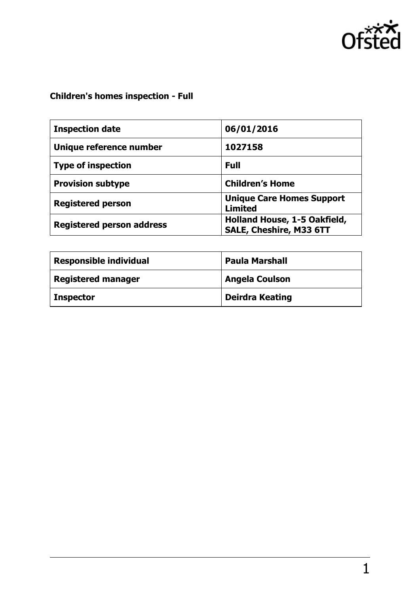

# **Children's homes inspection - Full**

| <b>Inspection date</b>           | 06/01/2016                                                     |
|----------------------------------|----------------------------------------------------------------|
| Unique reference number          | 1027158                                                        |
| <b>Type of inspection</b>        | <b>Full</b>                                                    |
| <b>Provision subtype</b>         | <b>Children's Home</b>                                         |
| <b>Registered person</b>         | <b>Unique Care Homes Support</b><br><b>Limited</b>             |
| <b>Registered person address</b> | Holland House, 1-5 Oakfield,<br><b>SALE, Cheshire, M33 6TT</b> |

| <b>Responsible individual</b> | <b>Paula Marshall</b>  |
|-------------------------------|------------------------|
| <b>Registered manager</b>     | <b>Angela Coulson</b>  |
| <b>Inspector</b>              | <b>Deirdra Keating</b> |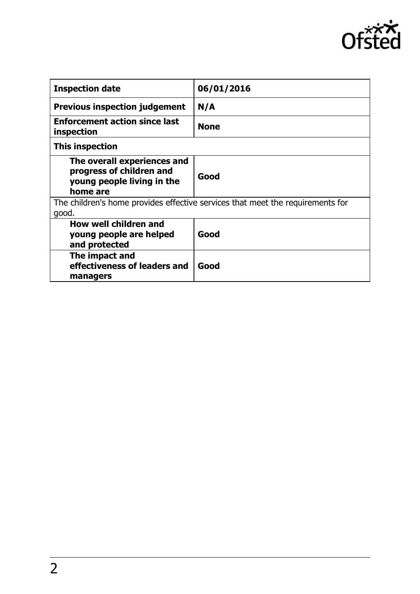

| <b>Inspection date</b>                                                                            | 06/01/2016  |  |
|---------------------------------------------------------------------------------------------------|-------------|--|
| <b>Previous inspection judgement</b>                                                              | N/A         |  |
| <b>Enforcement action since last</b><br>inspection                                                | <b>None</b> |  |
| This inspection                                                                                   |             |  |
| The overall experiences and<br>progress of children and<br>young people living in the<br>home are | Good        |  |
| The children's home provides effective services that meet the requirements for<br>good.           |             |  |
| How well children and<br>young people are helped<br>and protected                                 | Good        |  |
| The impact and<br>effectiveness of leaders and<br>managers                                        | Good        |  |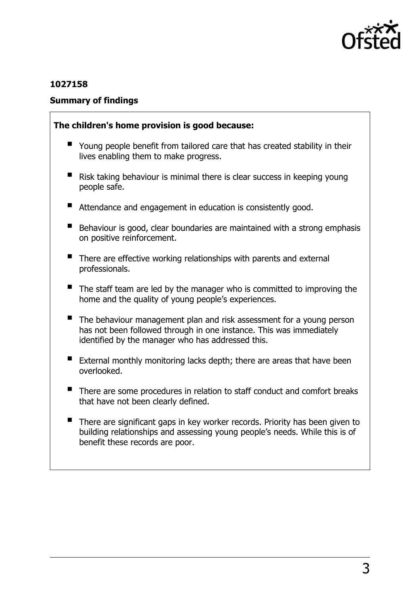

## **1027158**

## **Summary of findings**

### **The children's home provision is good because:**

- Young people benefit from tailored care that has created stability in their lives enabling them to make progress.
- Risk taking behaviour is minimal there is clear success in keeping young people safe.
- Attendance and engagement in education is consistently good.
- Behaviour is good, clear boundaries are maintained with a strong emphasis on positive reinforcement.
- There are effective working relationships with parents and external professionals.
- The staff team are led by the manager who is committed to improving the home and the quality of young people's experiences.
- The behaviour management plan and risk assessment for a young person has not been followed through in one instance. This was immediately identified by the manager who has addressed this.
- External monthly monitoring lacks depth; there are areas that have been overlooked.
- There are some procedures in relation to staff conduct and comfort breaks that have not been clearly defined.
- There are significant gaps in key worker records. Priority has been given to building relationships and assessing young people's needs. While this is of benefit these records are poor.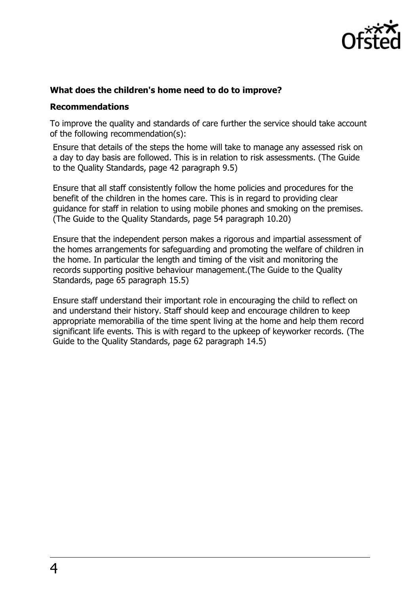

## **What does the children's home need to do to improve?**

#### **Recommendations**

To improve the quality and standards of care further the service should take account of the following recommendation(s):

Ensure that details of the steps the home will take to manage any assessed risk on a day to day basis are followed. This is in relation to risk assessments. (The Guide to the Quality Standards, page 42 paragraph 9.5)

Ensure that all staff consistently follow the home policies and procedures for the benefit of the children in the homes care. This is in regard to providing clear guidance for staff in relation to using mobile phones and smoking on the premises. (The Guide to the Quality Standards, page 54 paragraph 10.20)

Ensure that the independent person makes a rigorous and impartial assessment of the homes arrangements for safeguarding and promoting the welfare of children in the home. In particular the length and timing of the visit and monitoring the records supporting positive behaviour management.(The Guide to the Quality Standards, page 65 paragraph 15.5)

Ensure staff understand their important role in encouraging the child to reflect on and understand their history. Staff should keep and encourage children to keep appropriate memorabilia of the time spent living at the home and help them record significant life events. This is with regard to the upkeep of keyworker records. (The Guide to the Quality Standards, page 62 paragraph 14.5)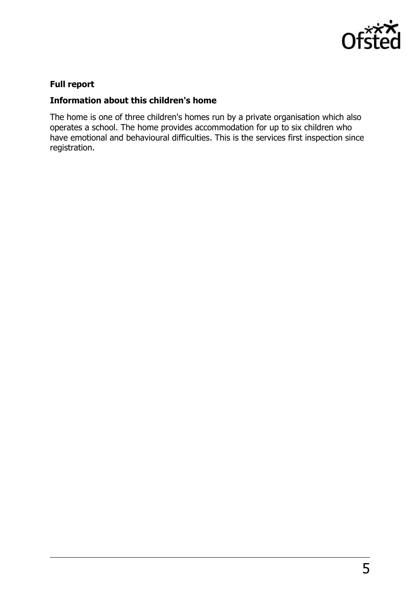

# **Full report**

## **Information about this children's home**

The home is one of three children's homes run by a private organisation which also operates a school. The home provides accommodation for up to six children who have emotional and behavioural difficulties. This is the services first inspection since registration.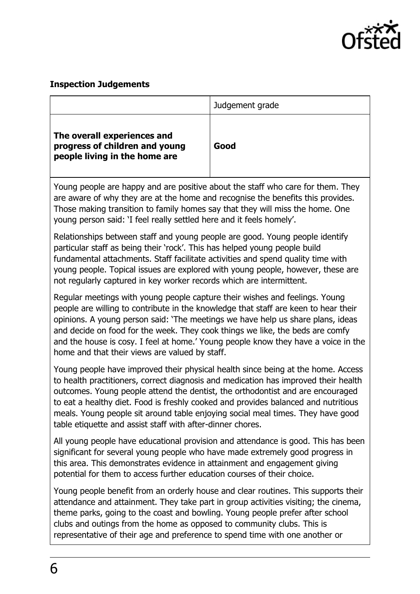

# **Inspection Judgements**

|                                                                                                                                                                                                                                                                                                                                                                                                                                                                                                  | Judgement grade |  |
|--------------------------------------------------------------------------------------------------------------------------------------------------------------------------------------------------------------------------------------------------------------------------------------------------------------------------------------------------------------------------------------------------------------------------------------------------------------------------------------------------|-----------------|--|
| The overall experiences and<br>progress of children and young<br>people living in the home are                                                                                                                                                                                                                                                                                                                                                                                                   | Good            |  |
| Young people are happy and are positive about the staff who care for them. They<br>are aware of why they are at the home and recognise the benefits this provides.<br>Those making transition to family homes say that they will miss the home. One<br>young person said: 'I feel really settled here and it feels homely'.                                                                                                                                                                      |                 |  |
| Relationships between staff and young people are good. Young people identify<br>particular staff as being their 'rock'. This has helped young people build<br>fundamental attachments. Staff facilitate activities and spend quality time with<br>young people. Topical issues are explored with young people, however, these are<br>not regularly captured in key worker records which are intermittent.                                                                                        |                 |  |
| Regular meetings with young people capture their wishes and feelings. Young<br>people are willing to contribute in the knowledge that staff are keen to hear their<br>opinions. A young person said: 'The meetings we have help us share plans, ideas<br>and decide on food for the week. They cook things we like, the beds are comfy<br>and the house is cosy. I feel at home.' Young people know they have a voice in the<br>home and that their views are valued by staff.                   |                 |  |
| Young people have improved their physical health since being at the home. Access<br>to health practitioners, correct diagnosis and medication has improved their health<br>outcomes. Young people attend the dentist, the orthodontist and are encouraged<br>to eat a healthy diet. Food is freshly cooked and provides balanced and nutritious<br>meals. Young people sit around table enjoying social meal times. They have good<br>table etiquette and assist staff with after-dinner chores. |                 |  |
| All young people have educational provision and attendance is good. This has been<br>significant for several young people who have made extremely good progress in<br>this area. This demonstrates evidence in attainment and engagement giving<br>potential for them to access further education courses of their choice.                                                                                                                                                                       |                 |  |
| Young people benefit from an orderly house and clear routines. This supports their<br>attendance and attainment. They take part in group activities visiting; the cinema,<br>theme parks, going to the coast and bowling. Young people prefer after school<br>clubs and outings from the home as opposed to community clubs. This is<br>representative of their age and preference to spend time with one another or                                                                             |                 |  |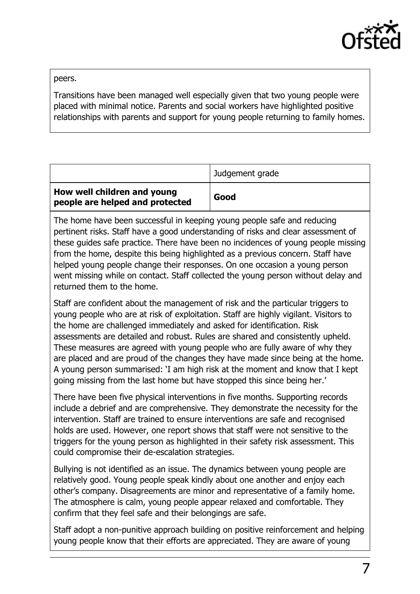

peers.

Transitions have been managed well especially given that two young people were placed with minimal notice. Parents and social workers have highlighted positive relationships with parents and support for young people returning to family homes.

|                                                                | Judgement grade |
|----------------------------------------------------------------|-----------------|
| How well children and young<br>people are helped and protected | Good            |

The home have been successful in keeping young people safe and reducing pertinent risks. Staff have a good understanding of risks and clear assessment of these guides safe practice. There have been no incidences of young people missing from the home, despite this being highlighted as a previous concern. Staff have helped young people change their responses. On one occasion a young person went missing while on contact. Staff collected the young person without delay and returned them to the home.

Staff are confident about the management of risk and the particular triggers to young people who are at risk of exploitation. Staff are highly vigilant. Visitors to the home are challenged immediately and asked for identification. Risk assessments are detailed and robust. Rules are shared and consistently upheld. These measures are agreed with young people who are fully aware of why they are placed and are proud of the changes they have made since being at the home. A young person summarised: 'I am high risk at the moment and know that I kept going missing from the last home but have stopped this since being her.'

There have been five physical interventions in five months. Supporting records include a debrief and are comprehensive. They demonstrate the necessity for the intervention. Staff are trained to ensure interventions are safe and recognised holds are used. However, one report shows that staff were not sensitive to the triggers for the young person as highlighted in their safety risk assessment. This could compromise their de-escalation strategies.

Bullying is not identified as an issue. The dynamics between young people are relatively good. Young people speak kindly about one another and enjoy each other's company. Disagreements are minor and representative of a family home. The atmosphere is calm, young people appear relaxed and comfortable. They confirm that they feel safe and their belongings are safe.

Staff adopt a non-punitive approach building on positive reinforcement and helping young people know that their efforts are appreciated. They are aware of young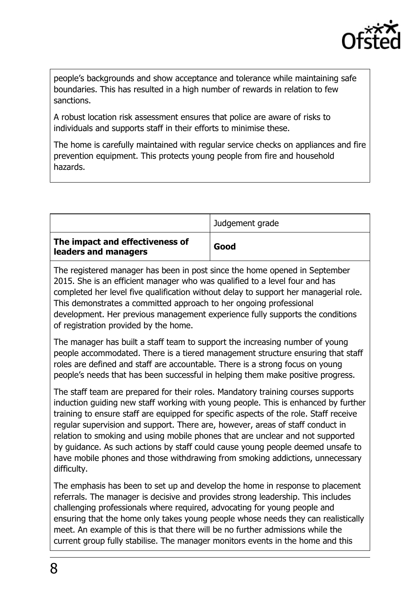

people's backgrounds and show acceptance and tolerance while maintaining safe boundaries. This has resulted in a high number of rewards in relation to few sanctions.

A robust location risk assessment ensures that police are aware of risks to individuals and supports staff in their efforts to minimise these.

The home is carefully maintained with regular service checks on appliances and fire prevention equipment. This protects young people from fire and household hazards.

|                                                         | Judgement grade |
|---------------------------------------------------------|-----------------|
| The impact and effectiveness of<br>leaders and managers | Good            |

The registered manager has been in post since the home opened in September 2015. She is an efficient manager who was qualified to a level four and has completed her level five qualification without delay to support her managerial role. This demonstrates a committed approach to her ongoing professional development. Her previous management experience fully supports the conditions of registration provided by the home.

The manager has built a staff team to support the increasing number of young people accommodated. There is a tiered management structure ensuring that staff roles are defined and staff are accountable. There is a strong focus on young people's needs that has been successful in helping them make positive progress.

The staff team are prepared for their roles. Mandatory training courses supports induction guiding new staff working with young people. This is enhanced by further training to ensure staff are equipped for specific aspects of the role. Staff receive regular supervision and support. There are, however, areas of staff conduct in relation to smoking and using mobile phones that are unclear and not supported by guidance. As such actions by staff could cause young people deemed unsafe to have mobile phones and those withdrawing from smoking addictions, unnecessary difficulty.

The emphasis has been to set up and develop the home in response to placement referrals. The manager is decisive and provides strong leadership. This includes challenging professionals where required, advocating for young people and ensuring that the home only takes young people whose needs they can realistically meet. An example of this is that there will be no further admissions while the current group fully stabilise. The manager monitors events in the home and this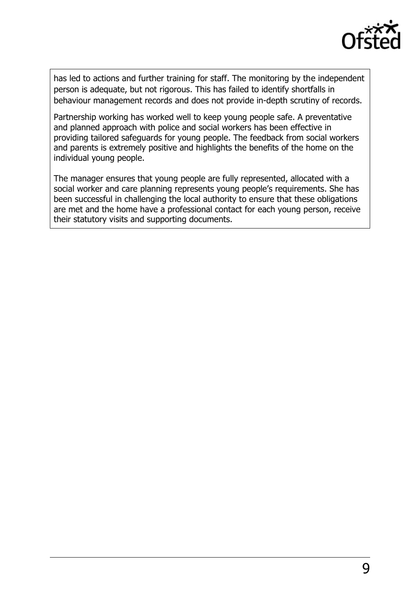

has led to actions and further training for staff. The monitoring by the independent person is adequate, but not rigorous. This has failed to identify shortfalls in behaviour management records and does not provide in-depth scrutiny of records.

Partnership working has worked well to keep young people safe. A preventative and planned approach with police and social workers has been effective in providing tailored safeguards for young people. The feedback from social workers and parents is extremely positive and highlights the benefits of the home on the individual young people.

The manager ensures that young people are fully represented, allocated with a social worker and care planning represents young people's requirements. She has been successful in challenging the local authority to ensure that these obligations are met and the home have a professional contact for each young person, receive their statutory visits and supporting documents.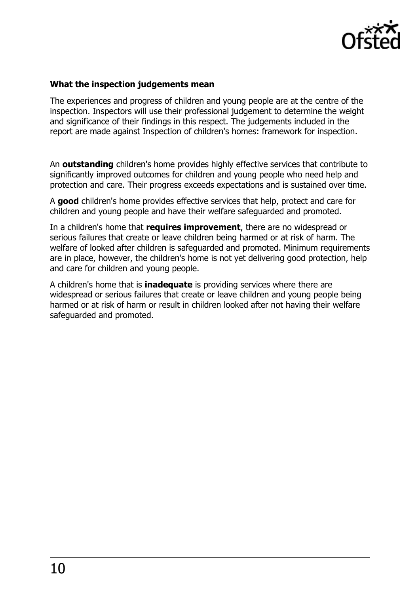

## **What the inspection judgements mean**

The experiences and progress of children and young people are at the centre of the inspection. Inspectors will use their professional judgement to determine the weight and significance of their findings in this respect. The judgements included in the report are made against Inspection of children's homes: framework for inspection.

An **outstanding** children's home provides highly effective services that contribute to significantly improved outcomes for children and young people who need help and protection and care. Their progress exceeds expectations and is sustained over time.

A **good** children's home provides effective services that help, protect and care for children and young people and have their welfare safeguarded and promoted.

In a children's home that **requires improvement**, there are no widespread or serious failures that create or leave children being harmed or at risk of harm. The welfare of looked after children is safeguarded and promoted. Minimum requirements are in place, however, the children's home is not yet delivering good protection, help and care for children and young people.

A children's home that is **inadequate** is providing services where there are widespread or serious failures that create or leave children and young people being harmed or at risk of harm or result in children looked after not having their welfare safeguarded and promoted.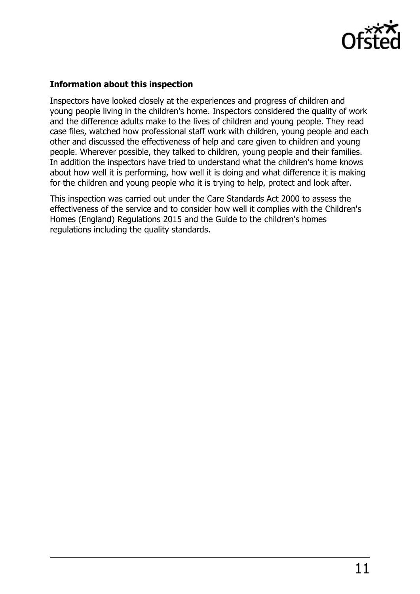

## **Information about this inspection**

Inspectors have looked closely at the experiences and progress of children and young people living in the children's home. Inspectors considered the quality of work and the difference adults make to the lives of children and young people. They read case files, watched how professional staff work with children, young people and each other and discussed the effectiveness of help and care given to children and young people. Wherever possible, they talked to children, young people and their families. In addition the inspectors have tried to understand what the children's home knows about how well it is performing, how well it is doing and what difference it is making for the children and young people who it is trying to help, protect and look after.

This inspection was carried out under the Care Standards Act 2000 to assess the effectiveness of the service and to consider how well it complies with the Children's Homes (England) Regulations 2015 and the Guide to the children's homes regulations including the quality standards.